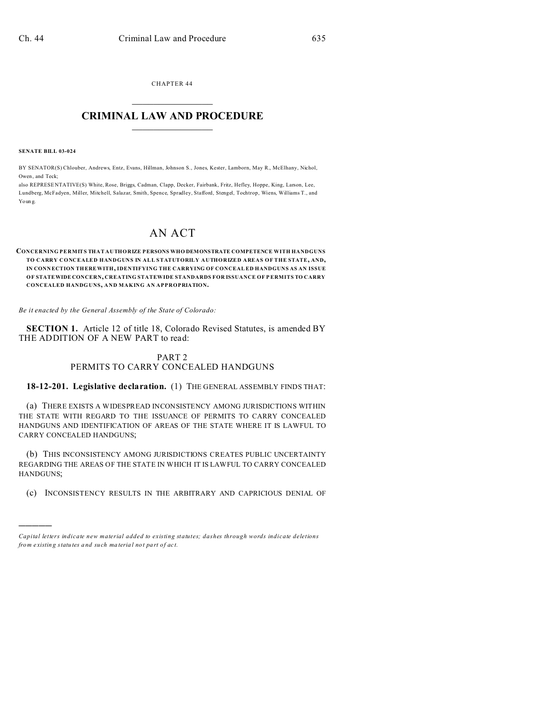CHAPTER 44  $\overline{\phantom{a}}$  , where  $\overline{\phantom{a}}$ 

## **CRIMINAL LAW AND PROCEDURE**  $\_$   $\_$   $\_$   $\_$   $\_$   $\_$   $\_$   $\_$   $\_$

**SENATE BILL 03-024**

)))))

BY SENATOR(S) Chlouber, Andrews, Entz, Evans, Hillman, Johnson S., Jones, Kester, Lamborn, May R., McElhany, Nichol, Owen, and Teck;

also REPRESE NTATIVE(S) White, Rose, Briggs, Cadman, Clapp, Decker, Fairbank, Fritz, Hefley, Hoppe, King, Larson, Lee, Lundberg, McFadyen, Miller, Mitchell, Salazar, Smith, Spence, Spradley, Stafford, Stengel, Tochtrop, Wiens, Williams T., and Youn g.

## AN ACT

**CONCERNING PERMITS THAT AUTHORIZE PERSONS WHO DEMONSTRATE COMPETENCE WITH HANDGUNS TO CARRY CONCEALED HANDGUNS IN ALL STATUTORILY AUTHORIZED AREAS OF THE STATE, AND, IN CONN ECTION THEREWITH, IDENTIFYING THE CARRYING OF CONCEAL ED HANDGUNS AS AN ISSUE OF STATEWIDE CONCERN, CREATING STATEWIDE STANDARDS FOR ISSUANCE OF P ERMITS TO CARRY CONCEALED HANDG UNS, AND MAKING AN APPROPRIATION.**

*Be it enacted by the General Assembly of the State of Colorado:*

**SECTION 1.** Article 12 of title 18, Colorado Revised Statutes, is amended BY THE ADDITION OF A NEW PART to read:

## PART 2 PERMITS TO CARRY CONCEALED HANDGUNS

**18-12-201. Legislative declaration.** (1) THE GENERAL ASSEMBLY FINDS THAT:

(a) THERE EXISTS A WIDESPREAD INCONSISTENCY AMONG JURISDICTIONS WITHIN THE STATE WITH REGARD TO THE ISSUANCE OF PERMITS TO CARRY CONCEALED HANDGUNS AND IDENTIFICATION OF AREAS OF THE STATE WHERE IT IS LAWFUL TO CARRY CONCEALED HANDGUNS;

(b) THIS INCONSISTENCY AMONG JURISDICTIONS CREATES PUBLIC UNCERTAINTY REGARDING THE AREAS OF THE STATE IN WHICH IT IS LAWFUL TO CARRY CONCEALED HANDGUNS;

(c) INCONSISTENCY RESULTS IN THE ARBITRARY AND CAPRICIOUS DENIAL OF

*Capital letters indicate new material added to existing statutes; dashes through words indicate deletions from e xistin g statu tes a nd such ma teria l no t pa rt of ac t.*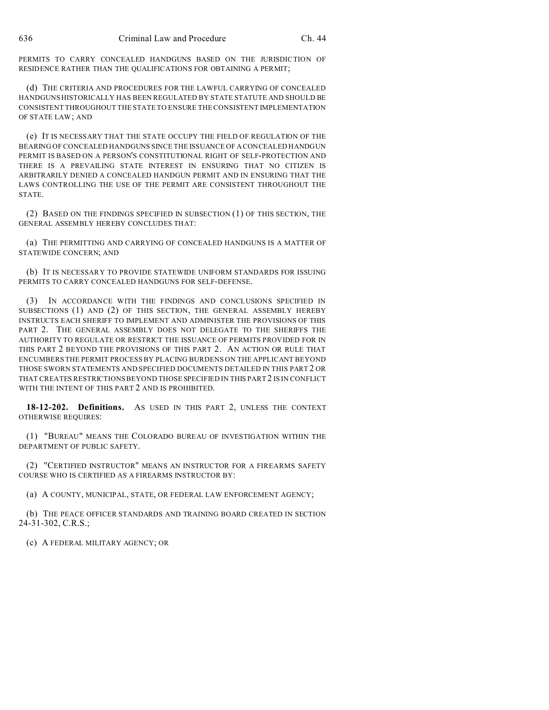PERMITS TO CARRY CONCEALED HANDGUNS BASED ON THE JURISDICTION OF RESIDENCE RATHER THAN THE QUALIFICATIONS FOR OBTAINING A PERMIT;

(d) THE CRITERIA AND PROCEDURES FOR THE LAWFUL CARRYING OF CONCEALED HANDGUNS HISTORICALLY HAS BEEN REGULATED BY STATE STATUTE AND SHOULD BE CONSISTENT THROUGHOUT THE STATE TO ENSURE THE CONSISTENT IMPLEMENTATION OF STATE LAW; AND

(e) IT IS NECESSARY THAT THE STATE OCCUPY THE FIELD OF REGULATION OF THE BEARING OF CONCEALED HANDGUNS SINCE THE ISSUANCE OF A CONCEALED HANDGUN PERMIT IS BASED ON A PERSON'S CONSTITUTIONAL RIGHT OF SELF-PROTECTION AND THERE IS A PREVAILING STATE INTEREST IN ENSURING THAT NO CITIZEN IS ARBITRARILY DENIED A CONCEALED HANDGUN PERMIT AND IN ENSURING THAT THE LAWS CONTROLLING THE USE OF THE PERMIT ARE CONSISTENT THROUGHOUT THE STATE.

(2) BASED ON THE FINDINGS SPECIFIED IN SUBSECTION (1) OF THIS SECTION, THE GENERAL ASSEMBLY HEREBY CONCLUDES THAT:

(a) THE PERMITTING AND CARRYING OF CONCEALED HANDGUNS IS A MATTER OF STATEWIDE CONCERN; AND

(b) IT IS NECESSARY TO PROVIDE STATEWIDE UNIFORM STANDARDS FOR ISSUING PERMITS TO CARRY CONCEALED HANDGUNS FOR SELF-DEFENSE.

(3) IN ACCORDANCE WITH THE FINDINGS AND CONCLUSIONS SPECIFIED IN SUBSECTIONS (1) AND (2) OF THIS SECTION, THE GENERAL ASSEMBLY HEREBY INSTRUCTS EACH SHERIFF TO IMPLEMENT AND ADMINISTER THE PROVISIONS OF THIS PART 2. THE GENERAL ASSEMBLY DOES NOT DELEGATE TO THE SHERIFFS THE AUTHORITY TO REGULATE OR RESTRICT THE ISSUANCE OF PERMITS PROVIDED FOR IN THIS PART 2 BEYOND THE PROVISIONS OF THIS PART 2. AN ACTION OR RULE THAT ENCUMBERS THE PERMIT PROCESS BY PLACING BURDENS ON THE APPLICANT BEYOND THOSE SWORN STATEMENTS AND SPECIFIED DOCUMENTS DETAILED IN THIS PART 2 OR THAT CREATES RESTRICTIONS BEYOND THOSE SPECIFIED IN THIS PART 2 IS IN CONFLICT WITH THE INTENT OF THIS PART 2 AND IS PROHIBITED.

18-12-202. Definitions. AS USED IN THIS PART 2, UNLESS THE CONTEXT OTHERWISE REQUIRES:

(1) "BUREAU" MEANS THE COLORADO BUREAU OF INVESTIGATION WITHIN THE DEPARTMENT OF PUBLIC SAFETY.

(2) "CERTIFIED INSTRUCTOR" MEANS AN INSTRUCTOR FOR A FIREARMS SAFETY COURSE WHO IS CERTIFIED AS A FIREARMS INSTRUCTOR BY:

(a) A COUNTY, MUNICIPAL, STATE, OR FEDERAL LAW ENFORCEMENT AGENCY;

(b) THE PEACE OFFICER STANDARDS AND TRAINING BOARD CREATED IN SECTION 24-31-302, C.R.S.;

(c) A FEDERAL MILITARY AGENCY; OR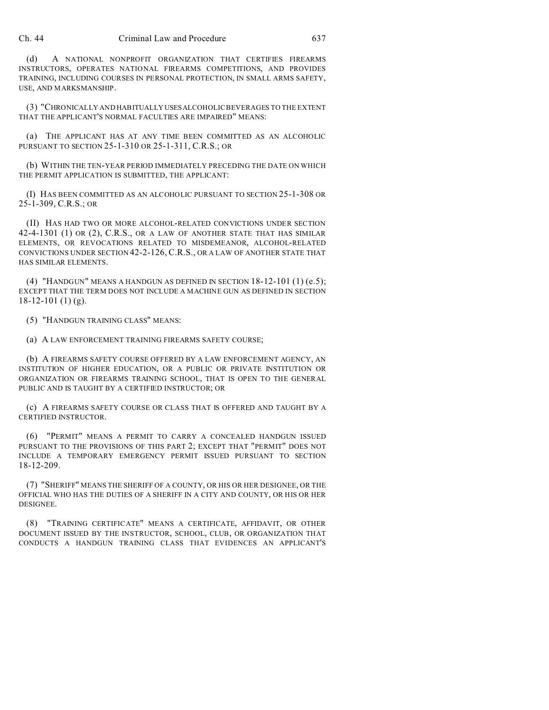(d) A NATIONAL NONPROFIT ORGANIZATION THAT CERTIFIES FIREARMS INSTRUCTORS, OPERATES NATIONAL FIREARMS COMPETITIONS, AND PROVIDES TRAINING, INCLUDING COURSES IN PERSONAL PROTECTION, IN SMALL ARMS SAFETY, USE, AND MARKSMANSHIP.

(3) "CHRONICALLY AND HABITUALLY USESALCOHOLIC BEVERAGES TO THE EXTENT THAT THE APPLICANT'S NORMAL FACULTIES ARE IMPAIRED" MEANS:

(a) THE APPLICANT HAS AT ANY TIME BEEN COMMITTED AS AN ALCOHOLIC PURSUANT TO SECTION 25-1-310 OR 25-1-311, C.R.S.; OR

(b) WITHIN THE TEN-YEAR PERIOD IMMEDIATELY PRECEDING THE DATE ON WHICH THE PERMIT APPLICATION IS SUBMITTED, THE APPLICANT:

(I) HAS BEEN COMMITTED AS AN ALCOHOLIC PURSUANT TO SECTION 25-1-308 OR 25-1-309, C.R.S.; OR

(II) HAS HAD TWO OR MORE ALCOHOL-RELATED CONVICTIONS UNDER SECTION 42-4-1301 (1) OR (2), C.R.S., OR A LAW OF ANOTHER STATE THAT HAS SIMILAR ELEMENTS, OR REVOCATIONS RELATED TO MISDEMEANOR, ALCOHOL-RELATED CONVICTIONS UNDER SECTION 42-2-126, C.R.S., OR A LAW OF ANOTHER STATE THAT HAS SIMILAR ELEMENTS.

(4) "HANDGUN" MEANS A HANDGUN AS DEFINED IN SECTION  $18-12-101$  (1) (e.5); EXCEPT THAT THE TERM DOES NOT INCLUDE A MACHINE GUN AS DEFINED IN SECTION 18-12-101 (1) (g).

(5) "HANDGUN TRAINING CLASS" MEANS:

(a) A LAW ENFORCEMENT TRAINING FIREARMS SAFETY COURSE;

(b) A FIREARMS SAFETY COURSE OFFERED BY A LAW ENFORCEMENT AGENCY, AN INSTITUTION OF HIGHER EDUCATION, OR A PUBLIC OR PRIVATE INSTITUTION OR ORGANIZATION OR FIREARMS TRAINING SCHOOL, THAT IS OPEN TO THE GENERAL PUBLIC AND IS TAUGHT BY A CERTIFIED INSTRUCTOR; OR

(c) A FIREARMS SAFETY COURSE OR CLASS THAT IS OFFERED AND TAUGHT BY A CERTIFIED INSTRUCTOR.

(6) "PERMIT" MEANS A PERMIT TO CARRY A CONCEALED HANDGUN ISSUED PURSUANT TO THE PROVISIONS OF THIS PART 2; EXCEPT THAT "PERMIT" DOES NOT INCLUDE A TEMPORARY EMERGENCY PERMIT ISSUED PURSUANT TO SECTION 18-12-209.

(7) "SHERIFF" MEANS THE SHERIFF OF A COUNTY, OR HIS OR HER DESIGNEE, OR THE OFFICIAL WHO HAS THE DUTIES OF A SHERIFF IN A CITY AND COUNTY, OR HIS OR HER DESIGNEE.

(8) "TRAINING CERTIFICATE" MEANS A CERTIFICATE, AFFIDAVIT, OR OTHER DOCUMENT ISSUED BY THE INSTRUCTOR, SCHOOL, CLUB, OR ORGANIZATION THAT CONDUCTS A HANDGUN TRAINING CLASS THAT EVIDENCES AN APPLICANT'S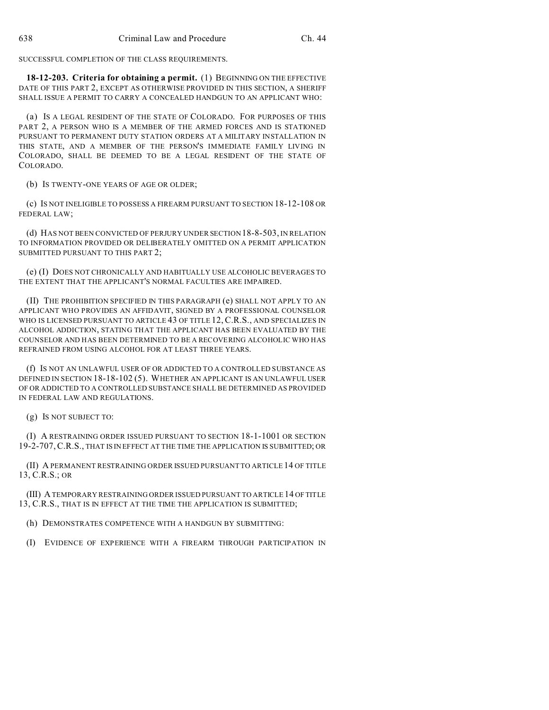SUCCESSFUL COMPLETION OF THE CLASS REQUIREMENTS.

**18-12-203. Criteria for obtaining a permit.** (1) BEGINNING ON THE EFFECTIVE DATE OF THIS PART 2, EXCEPT AS OTHERWISE PROVIDED IN THIS SECTION, A SHERIFF SHALL ISSUE A PERMIT TO CARRY A CONCEALED HANDGUN TO AN APPLICANT WHO:

(a) IS A LEGAL RESIDENT OF THE STATE OF COLORADO. FOR PURPOSES OF THIS PART 2, A PERSON WHO IS A MEMBER OF THE ARMED FORCES AND IS STATIONED PURSUANT TO PERMANENT DUTY STATION ORDERS AT A MILITARY INSTALLATION IN THIS STATE, AND A MEMBER OF THE PERSON'S IMMEDIATE FAMILY LIVING IN COLORADO, SHALL BE DEEMED TO BE A LEGAL RESIDENT OF THE STATE OF COLORADO.

(b) IS TWENTY-ONE YEARS OF AGE OR OLDER;

(c) IS NOT INELIGIBLE TO POSSESS A FIREARM PURSUANT TO SECTION 18-12-108 OR FEDERAL LAW;

(d) HAS NOT BEEN CONVICTED OF PERJURY UNDER SECTION 18-8-503, IN RELATION TO INFORMATION PROVIDED OR DELIBERATELY OMITTED ON A PERMIT APPLICATION SUBMITTED PURSUANT TO THIS PART 2;

(e) (I) DOES NOT CHRONICALLY AND HABITUALLY USE ALCOHOLIC BEVERAGES TO THE EXTENT THAT THE APPLICANT'S NORMAL FACULTIES ARE IMPAIRED.

(II) THE PROHIBITION SPECIFIED IN THIS PARAGRAPH (e) SHALL NOT APPLY TO AN APPLICANT WHO PROVIDES AN AFFIDAVIT, SIGNED BY A PROFESSIONAL COUNSELOR WHO IS LICENSED PURSUANT TO ARTICLE 43 OF TITLE 12, C.R.S., AND SPECIALIZES IN ALCOHOL ADDICTION, STATING THAT THE APPLICANT HAS BEEN EVALUATED BY THE COUNSELOR AND HAS BEEN DETERMINED TO BE A RECOVERING ALCOHOLIC WHO HAS REFRAINED FROM USING ALCOHOL FOR AT LEAST THREE YEARS.

(f) IS NOT AN UNLAWFUL USER OF OR ADDICTED TO A CONTROLLED SUBSTANCE AS DEFINED IN SECTION 18-18-102 (5). WHETHER AN APPLICANT IS AN UNLAWFUL USER OF OR ADDICTED TO A CONTROLLED SUBSTANCE SHALL BE DETERMINED AS PROVIDED IN FEDERAL LAW AND REGULATIONS.

(g) IS NOT SUBJECT TO:

(I) A RESTRAINING ORDER ISSUED PURSUANT TO SECTION 18-1-1001 OR SECTION 19-2-707,C.R.S., THAT IS IN EFFECT AT THE TIME THE APPLICATION IS SUBMITTED; OR

(II) A PERMANENT RESTRAINING ORDER ISSUED PURSUANT TO ARTICLE 14 OF TITLE 13, C.R.S.; OR

(III) A TEMPORARY RESTRAINING ORDER ISSUED PURSUANT TO ARTICLE 14 OF TITLE 13, C.R.S., THAT IS IN EFFECT AT THE TIME THE APPLICATION IS SUBMITTED;

(h) DEMONSTRATES COMPETENCE WITH A HANDGUN BY SUBMITTING:

(I) EVIDENCE OF EXPERIENCE WITH A FIREARM THROUGH PARTICIPATION IN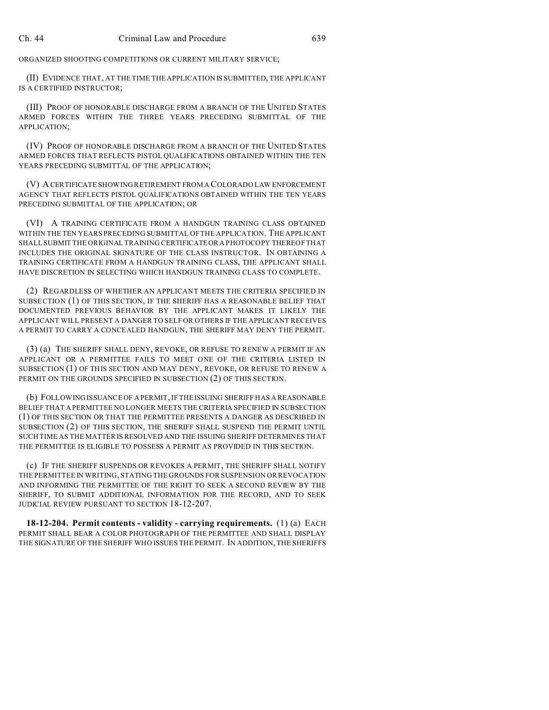ORGANIZED SHOOTING COMPETITIONS OR CURRENT MILITARY SERVICE;

(II) EVIDENCE THAT, AT THE TIME THE APPLICATION IS SUBMITTED, THE APPLICANT IS A CERTIFIED INSTRUCTOR;

(III) PROOF OF HONORABLE DISCHARGE FROM A BRANCH OF THE UNITED STATES ARMED FORCES WITHIN THE THREE YEARS PRECEDING SUBMITTAL OF THE APPLICATION;

(IV) PROOF OF HONORABLE DISCHARGE FROM A BRANCH OF THE UNITED STATES ARMED FORCES THAT REFLECTS PISTOL QUALIFICATIONS OBTAINED WITHIN THE TEN YEARS PRECEDING SUBMITTAL OF THE APPLICATION;

(V) A CERTIFICATE SHOWING RETIREMENT FROM A COLORADO LAW ENFORCEMENT AGENCY THAT REFLECTS PISTOL QUALIFICATIONS OBTAINED WITHIN THE TEN YEARS PRECEDING SUBMITTAL OF THE APPLICATION; OR

(VI) A TRAINING CERTIFICATE FROM A HANDGUN TRAINING CLASS OBTAINED WITHIN THE TEN YEARS PRECEDING SUBMITTAL OF THE APPLICATION. THE APPLICANT SHALL SUBMIT THE ORIGINAL TRAINING CERTIFICATEOR A PHOTOCOPY THEREOF THAT INCLUDES THE ORIGINAL SIGNATURE OF THE CLASS INSTRUCTOR. IN OBTAINING A TRAINING CERTIFICATE FROM A HANDGUN TRAINING CLASS, THE APPLICANT SHALL HAVE DISCRETION IN SELECTING WHICH HANDGUN TRAINING CLASS TO COMPLETE.

(2) REGARDLESS OF WHETHER AN APPLICANT MEETS THE CRITERIA SPECIFIED IN SUBSECTION (1) OF THIS SECTION, IF THE SHERIFF HAS A REASONABLE BELIEF THAT DOCUMENTED PREVIOUS BEHAVIOR BY THE APPLICANT MAKES IT LIKELY THE APPLICANT WILL PRESENT A DANGER TO SELF OR OTHERS IF THE APPLICANT RECEIVES A PERMIT TO CARRY A CONCEALED HANDGUN, THE SHERIFF MAY DENY THE PERMIT.

(3) (a) THE SHERIFF SHALL DENY, REVOKE, OR REFUSE TO RENEW A PERMIT IF AN APPLICANT OR A PERMITTEE FAILS TO MEET ONE OF THE CRITERIA LISTED IN SUBSECTION (1) OF THIS SECTION AND MAY DENY, REVOKE, OR REFUSE TO RENEW A PERMIT ON THE GROUNDS SPECIFIED IN SUBSECTION (2) OF THIS SECTION.

(b) FOLLOWING ISSUANCE OF A PERMIT, IF THE ISSUING SHERIFF HAS A REASONABLE BELIEF THAT A PERMITTEE NO LONGER MEETS THE CRITERIA SPECIFIED IN SUBSECTION (1) OF THIS SECTION OR THAT THE PERMITTEE PRESENTS A DANGER AS DESCRIBED IN SUBSECTION (2) OF THIS SECTION, THE SHERIFF SHALL SUSPEND THE PERMIT UNTIL SUCH TIME AS THE MATTER IS RESOLVED AND THE ISSUING SHERIFF DETERMINES THAT THE PERMITTEE IS ELIGIBLE TO POSSESS A PERMIT AS PROVIDED IN THIS SECTION.

(c) IF THE SHERIFF SUSPENDS OR REVOKES A PERMIT, THE SHERIFF SHALL NOTIFY THE PERMITTEE IN WRITING, STATING THE GROUNDS FOR SUSPENSION OR REVOCATION AND INFORMING THE PERMITTEE OF THE RIGHT TO SEEK A SECOND REVIEW BY THE SHERIFF, TO SUBMIT ADDITIONAL INFORMATION FOR THE RECORD, AND TO SEEK JUDICIAL REVIEW PURSUANT TO SECTION 18-12-207.

**18-12-204. Permit contents - validity - carrying requirements.** (1) (a) EACH PERMIT SHALL BEAR A COLOR PHOTOGRAPH OF THE PERMITTEE AND SHALL DISPLAY THE SIGNATURE OF THE SHERIFF WHO ISSUES THE PERMIT. IN ADDITION, THE SHERIFFS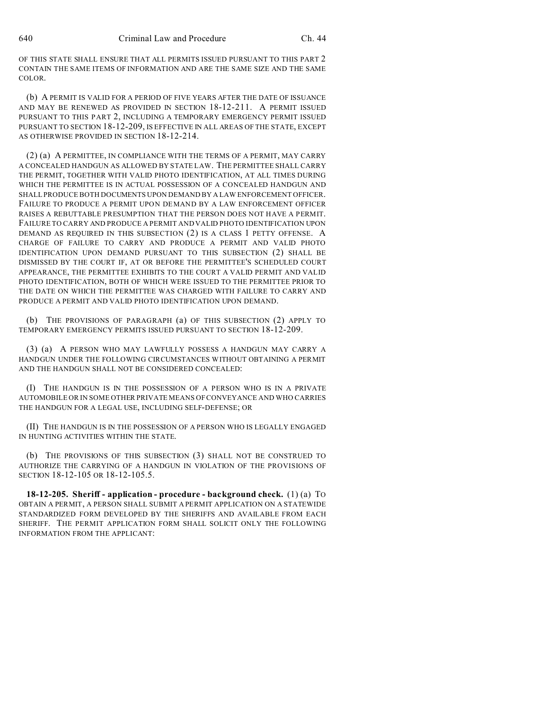OF THIS STATE SHALL ENSURE THAT ALL PERMITS ISSUED PURSUANT TO THIS PART 2 CONTAIN THE SAME ITEMS OF INFORMATION AND ARE THE SAME SIZE AND THE SAME COLOR.

(b) A PERMIT IS VALID FOR A PERIOD OF FIVE YEARS AFTER THE DATE OF ISSUANCE AND MAY BE RENEWED AS PROVIDED IN SECTION 18-12-211. A PERMIT ISSUED PURSUANT TO THIS PART 2, INCLUDING A TEMPORARY EMERGENCY PERMIT ISSUED PURSUANT TO SECTION 18-12-209, IS EFFECTIVE IN ALL AREAS OF THE STATE, EXCEPT AS OTHERWISE PROVIDED IN SECTION 18-12-214.

(2) (a) A PERMITTEE, IN COMPLIANCE WITH THE TERMS OF A PERMIT, MAY CARRY A CONCEALED HANDGUN AS ALLOWED BY STATE LAW. THE PERMITTEE SHALL CARRY THE PERMIT, TOGETHER WITH VALID PHOTO IDENTIFICATION, AT ALL TIMES DURING WHICH THE PERMITTEE IS IN ACTUAL POSSESSION OF A CONCEALED HANDGUN AND SHALL PRODUCE BOTH DOCUMENTS UPON DEMAND BY A LAW ENFORCEMENT OFFICER. FAILURE TO PRODUCE A PERMIT UPON DEMAND BY A LAW ENFORCEMENT OFFICER RAISES A REBUTTABLE PRESUMPTION THAT THE PERSON DOES NOT HAVE A PERMIT. FAILURE TO CARRY AND PRODUCE A PERMIT AND VALID PHOTO IDENTIFICATION UPON DEMAND AS REQUIRED IN THIS SUBSECTION (2) IS A CLASS 1 PETTY OFFENSE. A CHARGE OF FAILURE TO CARRY AND PRODUCE A PERMIT AND VALID PHOTO IDENTIFICATION UPON DEMAND PURSUANT TO THIS SUBSECTION (2) SHALL BE DISMISSED BY THE COURT IF, AT OR BEFORE THE PERMITTEE'S SCHEDULED COURT APPEARANCE, THE PERMITTEE EXHIBITS TO THE COURT A VALID PERMIT AND VALID PHOTO IDENTIFICATION, BOTH OF WHICH WERE ISSUED TO THE PERMITTEE PRIOR TO THE DATE ON WHICH THE PERMITTEE WAS CHARGED WITH FAILURE TO CARRY AND PRODUCE A PERMIT AND VALID PHOTO IDENTIFICATION UPON DEMAND.

(b) THE PROVISIONS OF PARAGRAPH (a) OF THIS SUBSECTION (2) APPLY TO TEMPORARY EMERGENCY PERMITS ISSUED PURSUANT TO SECTION 18-12-209.

(3) (a) A PERSON WHO MAY LAWFULLY POSSESS A HANDGUN MAY CARRY A HANDGUN UNDER THE FOLLOWING CIRCUMSTANCES WITHOUT OBTAINING A PERMIT AND THE HANDGUN SHALL NOT BE CONSIDERED CONCEALED:

(I) THE HANDGUN IS IN THE POSSESSION OF A PERSON WHO IS IN A PRIVATE AUTOMOBILE OR IN SOME OTHER PRIVATE MEANS OF CONVEYANCE AND WHO CARRIES THE HANDGUN FOR A LEGAL USE, INCLUDING SELF-DEFENSE; OR

(II) THE HANDGUN IS IN THE POSSESSION OF A PERSON WHO IS LEGALLY ENGAGED IN HUNTING ACTIVITIES WITHIN THE STATE.

(b) THE PROVISIONS OF THIS SUBSECTION (3) SHALL NOT BE CONSTRUED TO AUTHORIZE THE CARRYING OF A HANDGUN IN VIOLATION OF THE PROVISIONS OF SECTION 18-12-105 OR 18-12-105.5.

**18-12-205. Sheriff - application - procedure - background check.** (1) (a) TO OBTAIN A PERMIT, A PERSON SHALL SUBMIT A PERMIT APPLICATION ON A STATEWIDE STANDARDIZED FORM DEVELOPED BY THE SHERIFFS AND AVAILABLE FROM EACH SHERIFF. THE PERMIT APPLICATION FORM SHALL SOLICIT ONLY THE FOLLOWING INFORMATION FROM THE APPLICANT: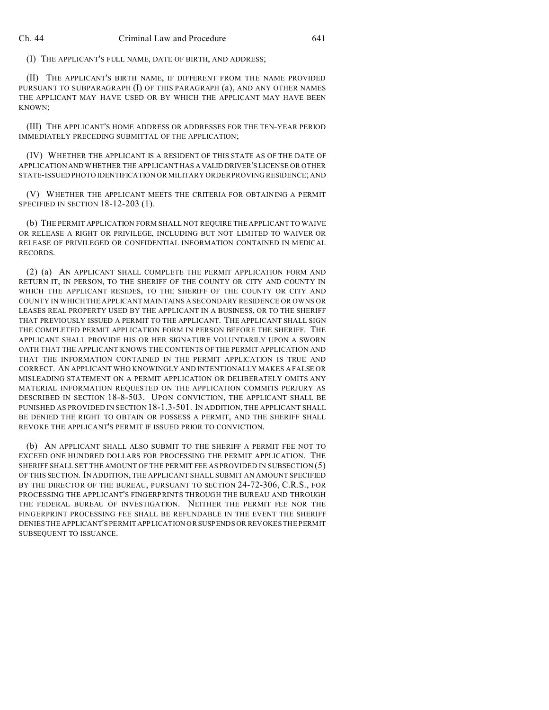(I) THE APPLICANT'S FULL NAME, DATE OF BIRTH, AND ADDRESS;

(II) THE APPLICANT'S BIRTH NAME, IF DIFFERENT FROM THE NAME PROVIDED PURSUANT TO SUBPARAGRAPH (I) OF THIS PARAGRAPH (a), AND ANY OTHER NAMES THE APPLICANT MAY HAVE USED OR BY WHICH THE APPLICANT MAY HAVE BEEN KNOWN;

(III) THE APPLICANT'S HOME ADDRESS OR ADDRESSES FOR THE TEN-YEAR PERIOD IMMEDIATELY PRECEDING SUBMITTAL OF THE APPLICATION;

(IV) WHETHER THE APPLICANT IS A RESIDENT OF THIS STATE AS OF THE DATE OF APPLICATION AND WHETHER THE APPLICANT HAS A VALID DRIVER'S LICENSE OR OTHER STATE-ISSUED PHOTO IDENTIFICATION OR MILITARY ORDER PROVING RESIDENCE; AND

(V) WHETHER THE APPLICANT MEETS THE CRITERIA FOR OBTAINING A PERMIT SPECIFIED IN SECTION 18-12-203 (1).

(b) THE PERMIT APPLICATION FORM SHALL NOT REQUIRE THE APPLICANT TO WAIVE OR RELEASE A RIGHT OR PRIVILEGE, INCLUDING BUT NOT LIMITED TO WAIVER OR RELEASE OF PRIVILEGED OR CONFIDENTIAL INFORMATION CONTAINED IN MEDICAL RECORDS.

(2) (a) AN APPLICANT SHALL COMPLETE THE PERMIT APPLICATION FORM AND RETURN IT, IN PERSON, TO THE SHERIFF OF THE COUNTY OR CITY AND COUNTY IN WHICH THE APPLICANT RESIDES, TO THE SHERIFF OF THE COUNTY OR CITY AND COUNTY IN WHICH THE APPLICANT MAINTAINS A SECONDARY RESIDENCE OR OWNS OR LEASES REAL PROPERTY USED BY THE APPLICANT IN A BUSINESS, OR TO THE SHERIFF THAT PREVIOUSLY ISSUED A PERMIT TO THE APPLICANT. THE APPLICANT SHALL SIGN THE COMPLETED PERMIT APPLICATION FORM IN PERSON BEFORE THE SHERIFF. THE APPLICANT SHALL PROVIDE HIS OR HER SIGNATURE VOLUNTARILY UPON A SWORN OATH THAT THE APPLICANT KNOWS THE CONTENTS OF THE PERMIT APPLICATION AND THAT THE INFORMATION CONTAINED IN THE PERMIT APPLICATION IS TRUE AND CORRECT. AN APPLICANT WHO KNOWINGLY AND INTENTIONALLY MAKES A FALSE OR MISLEADING STATEMENT ON A PERMIT APPLICATION OR DELIBERATELY OMITS ANY MATERIAL INFORMATION REQUESTED ON THE APPLICATION COMMITS PERJURY AS DESCRIBED IN SECTION 18-8-503. UPON CONVICTION, THE APPLICANT SHALL BE PUNISHED AS PROVIDED IN SECTION 18-1.3-501. IN ADDITION, THE APPLICANT SHALL BE DENIED THE RIGHT TO OBTAIN OR POSSESS A PERMIT, AND THE SHERIFF SHALL REVOKE THE APPLICANT'S PERMIT IF ISSUED PRIOR TO CONVICTION.

(b) AN APPLICANT SHALL ALSO SUBMIT TO THE SHERIFF A PERMIT FEE NOT TO EXCEED ONE HUNDRED DOLLARS FOR PROCESSING THE PERMIT APPLICATION. THE SHERIFF SHALL SET THE AMOUNT OF THE PERMIT FEE AS PROVIDED IN SUBSECTION (5) OF THIS SECTION. IN ADDITION, THE APPLICANT SHALL SUBMIT AN AMOUNT SPECIFIED BY THE DIRECTOR OF THE BUREAU, PURSUANT TO SECTION 24-72-306, C.R.S., FOR PROCESSING THE APPLICANT'S FINGERPRINTS THROUGH THE BUREAU AND THROUGH THE FEDERAL BUREAU OF INVESTIGATION. NEITHER THE PERMIT FEE NOR THE FINGERPRINT PROCESSING FEE SHALL BE REFUNDABLE IN THE EVENT THE SHERIFF DENIES THE APPLICANT'S PERMIT APPLICATION OR SUSPENDS OR REVOKES THE PERMIT SUBSEQUENT TO ISSUANCE.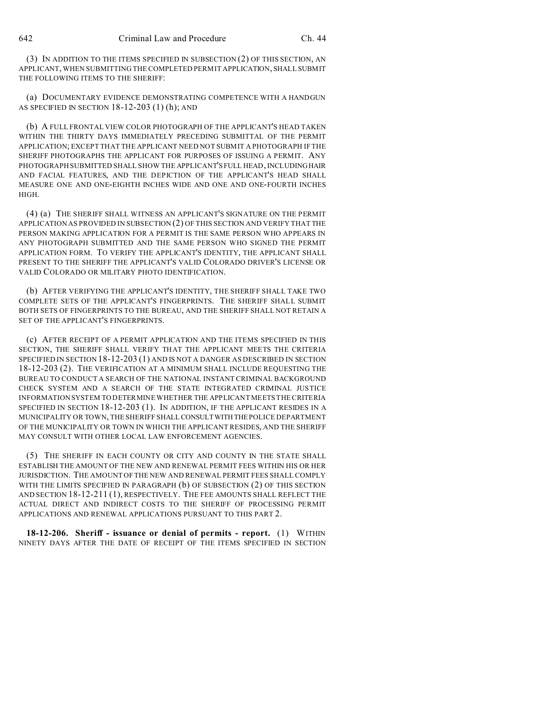642 Criminal Law and Procedure Ch. 44

(3) IN ADDITION TO THE ITEMS SPECIFIED IN SUBSECTION (2) OF THIS SECTION, AN APPLICANT, WHEN SUBMITTING THE COMPLETED PERMIT APPLICATION, SHALL SUBMIT THE FOLLOWING ITEMS TO THE SHERIFF:

(a) DOCUMENTARY EVIDENCE DEMONSTRATING COMPETENCE WITH A HANDGUN AS SPECIFIED IN SECTION 18-12-203 (1) (h); AND

(b) A FULL FRONTAL VIEW COLOR PHOTOGRAPH OF THE APPLICANT'S HEAD TAKEN WITHIN THE THIRTY DAYS IMMEDIATELY PRECEDING SUBMITTAL OF THE PERMIT APPLICATION; EXCEPT THAT THE APPLICANT NEED NOT SUBMIT A PHOTOGRAPH IF THE SHERIFF PHOTOGRAPHS THE APPLICANT FOR PURPOSES OF ISSUING A PERMIT. ANY PHOTOGRAPH SUBMITTED SHALL SHOW THE APPLICANT'S FULL HEAD, INCLUDINGHAIR AND FACIAL FEATURES, AND THE DEPICTION OF THE APPLICANT'S HEAD SHALL MEASURE ONE AND ONE-EIGHTH INCHES WIDE AND ONE AND ONE-FOURTH INCHES HIGH.

(4) (a) THE SHERIFF SHALL WITNESS AN APPLICANT'S SIGNATURE ON THE PERMIT APPLICATION AS PROVIDED IN SUBSECTION (2) OF THIS SECTION AND VERIFY THAT THE PERSON MAKING APPLICATION FOR A PERMIT IS THE SAME PERSON WHO APPEARS IN ANY PHOTOGRAPH SUBMITTED AND THE SAME PERSON WHO SIGNED THE PERMIT APPLICATION FORM. TO VERIFY THE APPLICANT'S IDENTITY, THE APPLICANT SHALL PRESENT TO THE SHERIFF THE APPLICANT'S VALID COLORADO DRIVER'S LICENSE OR VALID COLORADO OR MILITARY PHOTO IDENTIFICATION.

(b) AFTER VERIFYING THE APPLICANT'S IDENTITY, THE SHERIFF SHALL TAKE TWO COMPLETE SETS OF THE APPLICANT'S FINGERPRINTS. THE SHERIFF SHALL SUBMIT BOTH SETS OF FINGERPRINTS TO THE BUREAU, AND THE SHERIFF SHALL NOT RETAIN A SET OF THE APPLICANT'S FINGERPRINTS.

(c) AFTER RECEIPT OF A PERMIT APPLICATION AND THE ITEMS SPECIFIED IN THIS SECTION, THE SHERIFF SHALL VERIFY THAT THE APPLICANT MEETS THE CRITERIA SPECIFIED IN SECTION 18-12-203 (1) AND IS NOT A DANGER AS DESCRIBED IN SECTION 18-12-203 (2). THE VERIFICATION AT A MINIMUM SHALL INCLUDE REQUESTING THE BUREAU TO CONDUCT A SEARCH OF THE NATIONAL INSTANT CRIMINAL BACKGROUND CHECK SYSTEM AND A SEARCH OF THE STATE INTEGRATED CRIMINAL JUSTICE INFORMATION SYSTEM TO DETERMINE WHETHER THE APPLICANT MEETS THE CRITERIA SPECIFIED IN SECTION 18-12-203 (1). IN ADDITION, IF THE APPLICANT RESIDES IN A MUNICIPALITY OR TOWN, THE SHERIFF SHALL CONSULTWITH THE POLICE DEPARTMENT OF THE MUNICIPALITY OR TOWN IN WHICH THE APPLICANT RESIDES, AND THE SHERIFF MAY CONSULT WITH OTHER LOCAL LAW ENFORCEMENT AGENCIES.

(5) THE SHERIFF IN EACH COUNTY OR CITY AND COUNTY IN THE STATE SHALL ESTABLISH THE AMOUNT OF THE NEW AND RENEWAL PERMIT FEES WITHIN HIS OR HER JURISDICTION. THE AMOUNT OF THE NEW AND RENEWAL PERMIT FEES SHALL COMPLY WITH THE LIMITS SPECIFIED IN PARAGRAPH (b) OF SUBSECTION (2) OF THIS SECTION AND SECTION 18-12-211 (1), RESPECTIVELY. THE FEE AMOUNTS SHALL REFLECT THE ACTUAL DIRECT AND INDIRECT COSTS TO THE SHERIFF OF PROCESSING PERMIT APPLICATIONS AND RENEWAL APPLICATIONS PURSUANT TO THIS PART 2.

**18-12-206. Sheriff - issuance or denial of permits - report.** (1) WITHIN NINETY DAYS AFTER THE DATE OF RECEIPT OF THE ITEMS SPECIFIED IN SECTION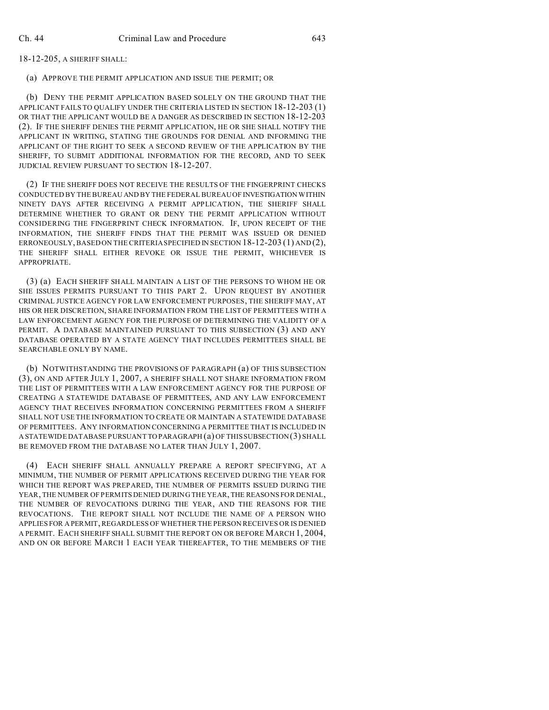18-12-205, A SHERIFF SHALL:

(a) APPROVE THE PERMIT APPLICATION AND ISSUE THE PERMIT; OR

(b) DENY THE PERMIT APPLICATION BASED SOLELY ON THE GROUND THAT THE APPLICANT FAILS TO QUALIFY UNDER THE CRITERIA LISTED IN SECTION 18-12-203 (1) OR THAT THE APPLICANT WOULD BE A DANGER AS DESCRIBED IN SECTION 18-12-203 (2). IF THE SHERIFF DENIES THE PERMIT APPLICATION, HE OR SHE SHALL NOTIFY THE APPLICANT IN WRITING, STATING THE GROUNDS FOR DENIAL AND INFORMING THE APPLICANT OF THE RIGHT TO SEEK A SECOND REVIEW OF THE APPLICATION BY THE SHERIFF, TO SUBMIT ADDITIONAL INFORMATION FOR THE RECORD, AND TO SEEK JUDICIAL REVIEW PURSUANT TO SECTION 18-12-207.

(2) IF THE SHERIFF DOES NOT RECEIVE THE RESULTS OF THE FINGERPRINT CHECKS CONDUCTED BY THE BUREAU AND BY THE FEDERAL BUREAU OF INVESTIGATION WITHIN NINETY DAYS AFTER RECEIVING A PERMIT APPLICATION, THE SHERIFF SHALL DETERMINE WHETHER TO GRANT OR DENY THE PERMIT APPLICATION WITHOUT CONSIDERING THE FINGERPRINT CHECK INFORMATION. IF, UPON RECEIPT OF THE INFORMATION, THE SHERIFF FINDS THAT THE PERMIT WAS ISSUED OR DENIED ERRONEOUSLY, BASED ON THE CRITERIA SPECIFIED IN SECTION 18-12-203 (1) AND (2), THE SHERIFF SHALL EITHER REVOKE OR ISSUE THE PERMIT, WHICHEVER IS APPROPRIATE.

(3) (a) EACH SHERIFF SHALL MAINTAIN A LIST OF THE PERSONS TO WHOM HE OR SHE ISSUES PERMITS PURSUANT TO THIS PART 2. UPON REQUEST BY ANOTHER CRIMINAL JUSTICE AGENCY FOR LAW ENFORCEMENT PURPOSES, THE SHERIFF MAY, AT HIS OR HER DISCRETION, SHARE INFORMATION FROM THE LIST OF PERMITTEES WITH A LAW ENFORCEMENT AGENCY FOR THE PURPOSE OF DETERMINING THE VALIDITY OF A PERMIT. A DATABASE MAINTAINED PURSUANT TO THIS SUBSECTION (3) AND ANY DATABASE OPERATED BY A STATE AGENCY THAT INCLUDES PERMITTEES SHALL BE SEARCHABLE ONLY BY NAME.

(b) NOTWITHSTANDING THE PROVISIONS OF PARAGRAPH (a) OF THIS SUBSECTION (3), ON AND AFTER JULY 1, 2007, A SHERIFF SHALL NOT SHARE INFORMATION FROM THE LIST OF PERMITTEES WITH A LAW ENFORCEMENT AGENCY FOR THE PURPOSE OF CREATING A STATEWIDE DATABASE OF PERMITTEES, AND ANY LAW ENFORCEMENT AGENCY THAT RECEIVES INFORMATION CONCERNING PERMITTEES FROM A SHERIFF SHALL NOT USE THE INFORMATION TO CREATE OR MAINTAIN A STATEWIDE DATABASE OF PERMITTEES. ANY INFORMATION CONCERNING A PERMITTEE THAT IS INCLUDED IN A STATEWIDE DATABASE PURSUANTTO PARAGRAPH (a) OF THIS SUBSECTION (3) SHALL BE REMOVED FROM THE DATABASE NO LATER THAN JULY 1, 2007.

(4) EACH SHERIFF SHALL ANNUALLY PREPARE A REPORT SPECIFYING, AT A MINIMUM, THE NUMBER OF PERMIT APPLICATIONS RECEIVED DURING THE YEAR FOR WHICH THE REPORT WAS PREPARED, THE NUMBER OF PERMITS ISSUED DURING THE YEAR, THE NUMBER OF PERMITS DENIED DURING THE YEAR, THE REASONS FOR DENIAL, THE NUMBER OF REVOCATIONS DURING THE YEAR, AND THE REASONS FOR THE REVOCATIONS. THE REPORT SHALL NOT INCLUDE THE NAME OF A PERSON WHO APPLIES FOR A PERMIT, REGARDLESS OF WHETHER THE PERSON RECEIVES OR IS DENIED A PERMIT. EACH SHERIFF SHALL SUBMIT THE REPORT ON OR BEFORE MARCH 1, 2004, AND ON OR BEFORE MARCH 1 EACH YEAR THEREAFTER, TO THE MEMBERS OF THE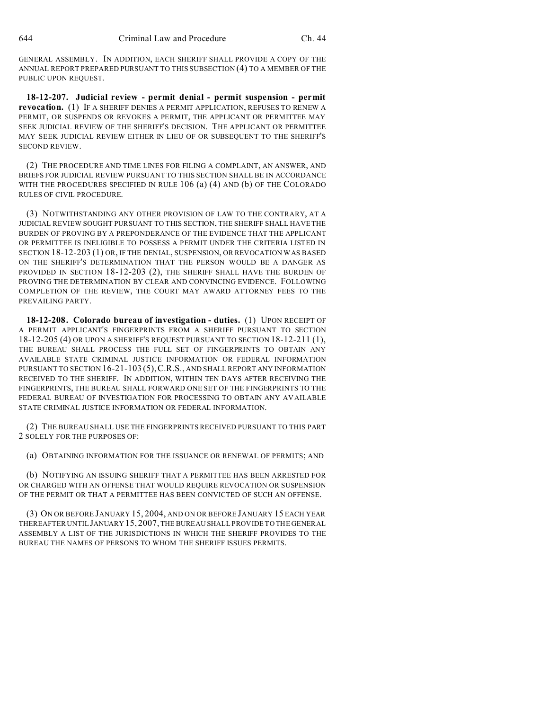GENERAL ASSEMBLY. IN ADDITION, EACH SHERIFF SHALL PROVIDE A COPY OF THE ANNUAL REPORT PREPARED PURSUANT TO THIS SUBSECTION (4) TO A MEMBER OF THE PUBLIC UPON REQUEST.

**18-12-207. Judicial review - permit denial - permit suspension - permit revocation.** (1) IF A SHERIFF DENIES A PERMIT APPLICATION, REFUSES TO RENEW A PERMIT, OR SUSPENDS OR REVOKES A PERMIT, THE APPLICANT OR PERMITTEE MAY SEEK JUDICIAL REVIEW OF THE SHERIFF'S DECISION. THE APPLICANT OR PERMITTEE MAY SEEK JUDICIAL REVIEW EITHER IN LIEU OF OR SUBSEQUENT TO THE SHERIFF'S SECOND REVIEW.

(2) THE PROCEDURE AND TIME LINES FOR FILING A COMPLAINT, AN ANSWER, AND BRIEFS FOR JUDICIAL REVIEW PURSUANT TO THIS SECTION SHALL BE IN ACCORDANCE WITH THE PROCEDURES SPECIFIED IN RULE 106 (a) (4) AND (b) OF THE COLORADO RULES OF CIVIL PROCEDURE.

(3) NOTWITHSTANDING ANY OTHER PROVISION OF LAW TO THE CONTRARY, AT A JUDICIAL REVIEW SOUGHT PURSUANT TO THIS SECTION, THE SHERIFF SHALL HAVE THE BURDEN OF PROVING BY A PREPONDERANCE OF THE EVIDENCE THAT THE APPLICANT OR PERMITTEE IS INELIGIBLE TO POSSESS A PERMIT UNDER THE CRITERIA LISTED IN SECTION 18-12-203 (1) OR, IF THE DENIAL, SUSPENSION, OR REVOCATION WAS BASED ON THE SHERIFF'S DETERMINATION THAT THE PERSON WOULD BE A DANGER AS PROVIDED IN SECTION 18-12-203 (2), THE SHERIFF SHALL HAVE THE BURDEN OF PROVING THE DETERMINATION BY CLEAR AND CONVINCING EVIDENCE. FOLLOWING COMPLETION OF THE REVIEW, THE COURT MAY AWARD ATTORNEY FEES TO THE PREVAILING PARTY.

**18-12-208. Colorado bureau of investigation - duties.** (1) UPON RECEIPT OF A PERMIT APPLICANT'S FINGERPRINTS FROM A SHERIFF PURSUANT TO SECTION 18-12-205 (4) OR UPON A SHERIFF'S REQUEST PURSUANT TO SECTION 18-12-211 (1), THE BUREAU SHALL PROCESS THE FULL SET OF FINGERPRINTS TO OBTAIN ANY AVAILABLE STATE CRIMINAL JUSTICE INFORMATION OR FEDERAL INFORMATION PURSUANT TO SECTION 16-21-103 (5),C.R.S., AND SHALL REPORT ANY INFORMATION RECEIVED TO THE SHERIFF. IN ADDITION, WITHIN TEN DAYS AFTER RECEIVING THE FINGERPRINTS, THE BUREAU SHALL FORWARD ONE SET OF THE FINGERPRINTS TO THE FEDERAL BUREAU OF INVESTIGATION FOR PROCESSING TO OBTAIN ANY AVAILABLE STATE CRIMINAL JUSTICE INFORMATION OR FEDERAL INFORMATION.

(2) THE BUREAU SHALL USE THE FINGERPRINTS RECEIVED PURSUANT TO THIS PART 2 SOLELY FOR THE PURPOSES OF:

(a) OBTAINING INFORMATION FOR THE ISSUANCE OR RENEWAL OF PERMITS; AND

(b) NOTIFYING AN ISSUING SHERIFF THAT A PERMITTEE HAS BEEN ARRESTED FOR OR CHARGED WITH AN OFFENSE THAT WOULD REQUIRE REVOCATION OR SUSPENSION OF THE PERMIT OR THAT A PERMITTEE HAS BEEN CONVICTED OF SUCH AN OFFENSE.

(3) ON OR BEFORE JANUARY 15, 2004, AND ON OR BEFORE JANUARY 15 EACH YEAR THEREAFTER UNTIL JANUARY 15, 2007, THE BUREAU SHALL PROVIDE TO THE GENERAL ASSEMBLY A LIST OF THE JURISDICTIONS IN WHICH THE SHERIFF PROVIDES TO THE BUREAU THE NAMES OF PERSONS TO WHOM THE SHERIFF ISSUES PERMITS.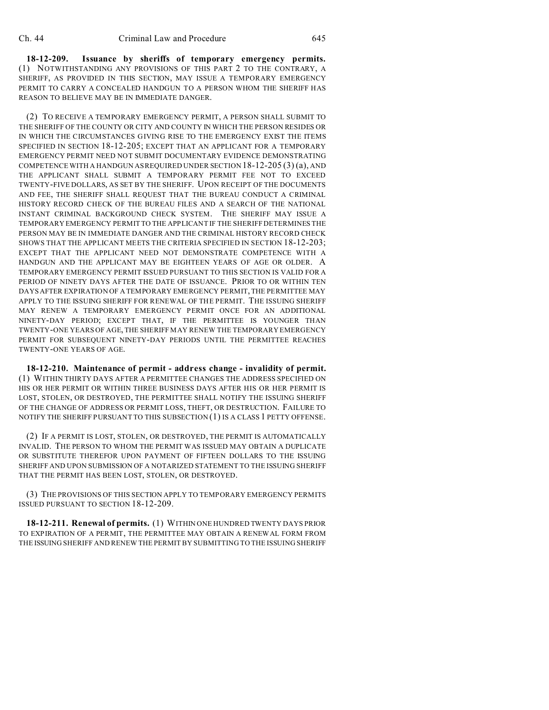**18-12-209. Issuance by sheriffs of temporary emergency permits.** (1) NOTWITHSTANDING ANY PROVISIONS OF THIS PART 2 TO THE CONTRARY, A SHERIFF, AS PROVIDED IN THIS SECTION, MAY ISSUE A TEMPORARY EMERGENCY PERMIT TO CARRY A CONCEALED HANDGUN TO A PERSON WHOM THE SHERIFF HAS REASON TO BELIEVE MAY BE IN IMMEDIATE DANGER.

(2) TO RECEIVE A TEMPORARY EMERGENCY PERMIT, A PERSON SHALL SUBMIT TO THE SHERIFF OF THE COUNTY OR CITY AND COUNTY IN WHICH THE PERSON RESIDES OR IN WHICH THE CIRCUMSTANCES GIVING RISE TO THE EMERGENCY EXIST THE ITEMS SPECIFIED IN SECTION 18-12-205; EXCEPT THAT AN APPLICANT FOR A TEMPORARY EMERGENCY PERMIT NEED NOT SUBMIT DOCUMENTARY EVIDENCE DEMONSTRATING COMPETENCE WITH A HANDGUN AS REQUIRED UNDER SECTION  $18-12-205(3)(a)$ , AND THE APPLICANT SHALL SUBMIT A TEMPORARY PERMIT FEE NOT TO EXCEED TWENTY-FIVE DOLLARS, AS SET BY THE SHERIFF. UPON RECEIPT OF THE DOCUMENTS AND FEE, THE SHERIFF SHALL REQUEST THAT THE BUREAU CONDUCT A CRIMINAL HISTORY RECORD CHECK OF THE BUREAU FILES AND A SEARCH OF THE NATIONAL INSTANT CRIMINAL BACKGROUND CHECK SYSTEM. THE SHERIFF MAY ISSUE A TEMPORARY EMERGENCY PERMIT TO THE APPLICANT IF THE SHERIFF DETERMINES THE PERSON MAY BE IN IMMEDIATE DANGER AND THE CRIMINAL HISTORY RECORD CHECK SHOWS THAT THE APPLICANT MEETS THE CRITERIA SPECIFIED IN SECTION 18-12-203; EXCEPT THAT THE APPLICANT NEED NOT DEMONSTRATE COMPETENCE WITH A HANDGUN AND THE APPLICANT MAY BE EIGHTEEN YEARS OF AGE OR OLDER. A TEMPORARY EMERGENCY PERMIT ISSUED PURSUANT TO THIS SECTION IS VALID FOR A PERIOD OF NINETY DAYS AFTER THE DATE OF ISSUANCE. PRIOR TO OR WITHIN TEN DAYS AFTER EXPIRATION OF A TEMPORARY EMERGENCY PERMIT, THE PERMITTEE MAY APPLY TO THE ISSUING SHERIFF FOR RENEWAL OF THE PERMIT. THE ISSUING SHERIFF MAY RENEW A TEMPORARY EMERGENCY PERMIT ONCE FOR AN ADDITIONAL NINETY-DAY PERIOD; EXCEPT THAT, IF THE PERMITTEE IS YOUNGER THAN TWENTY-ONE YEARS OF AGE, THE SHERIFF MAY RENEW THE TEMPORARY EMERGENCY PERMIT FOR SUBSEQUENT NINETY-DAY PERIODS UNTIL THE PERMITTEE REACHES TWENTY-ONE YEARS OF AGE.

**18-12-210. Maintenance of permit - address change - invalidity of permit.** (1) WITHIN THIRTY DAYS AFTER A PERMITTEE CHANGES THE ADDRESS SPECIFIED ON HIS OR HER PERMIT OR WITHIN THREE BUSINESS DAYS AFTER HIS OR HER PERMIT IS LOST, STOLEN, OR DESTROYED, THE PERMITTEE SHALL NOTIFY THE ISSUING SHERIFF OF THE CHANGE OF ADDRESS OR PERMIT LOSS, THEFT, OR DESTRUCTION. FAILURE TO NOTIFY THE SHERIFF PURSUANT TO THIS SUBSECTION (1) IS A CLASS 1 PETTY OFFENSE.

(2) IF A PERMIT IS LOST, STOLEN, OR DESTROYED, THE PERMIT IS AUTOMATICALLY INVALID. THE PERSON TO WHOM THE PERMIT WAS ISSUED MAY OBTAIN A DUPLICATE OR SUBSTITUTE THEREFOR UPON PAYMENT OF FIFTEEN DOLLARS TO THE ISSUING SHERIFF AND UPON SUBMISSION OF A NOTARIZED STATEMENT TO THE ISSUING SHERIFF THAT THE PERMIT HAS BEEN LOST, STOLEN, OR DESTROYED.

(3) THE PROVISIONS OF THIS SECTION APPLY TO TEMPORARY EMERGENCY PERMITS ISSUED PURSUANT TO SECTION 18-12-209.

**18-12-211. Renewal of permits.** (1) WITHIN ONE HUNDRED TWENTY DAYS PRIOR TO EXPIRATION OF A PERMIT, THE PERMITTEE MAY OBTAIN A RENEWAL FORM FROM THE ISSUING SHERIFF AND RENEW THE PERMIT BY SUBMITTING TO THE ISSUING SHERIFF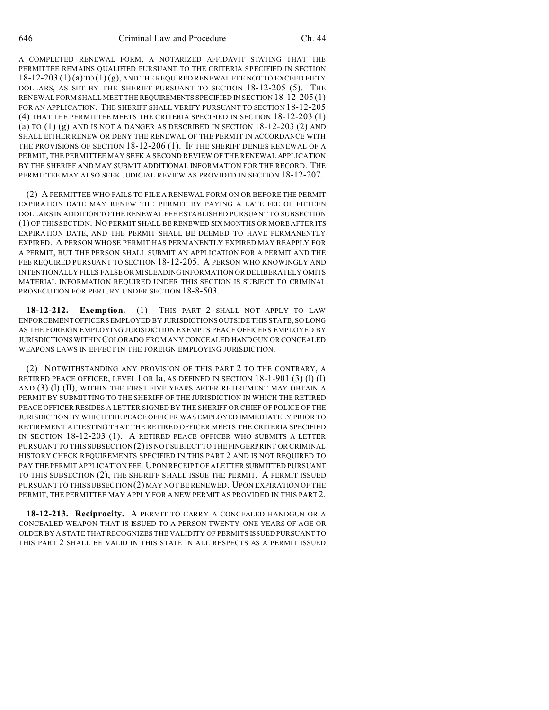A COMPLETED RENEWAL FORM, A NOTARIZED AFFIDAVIT STATING THAT THE PERMITTEE REMAINS QUALIFIED PURSUANT TO THE CRITERIA SPECIFIED IN SECTION 18-12-203 (1) (a) TO (1) (g), AND THE REQUIRED RENEWAL FEE NOT TO EXCEED FIFTY DOLLARS, AS SET BY THE SHERIFF PURSUANT TO SECTION 18-12-205 (5). THE RENEWAL FORM SHALL MEET THE REQUIREMENTS SPECIFIED IN SECTION 18-12-205 (1) FOR AN APPLICATION. THE SHERIFF SHALL VERIFY PURSUANT TO SECTION 18-12-205 (4) THAT THE PERMITTEE MEETS THE CRITERIA SPECIFIED IN SECTION 18-12-203 (1) (a) TO  $(1)$  (g) AND IS NOT A DANGER AS DESCRIBED IN SECTION  $18-12-203$  (2) AND SHALL EITHER RENEW OR DENY THE RENEWAL OF THE PERMIT IN ACCORDANCE WITH THE PROVISIONS OF SECTION 18-12-206 (1). IF THE SHERIFF DENIES RENEWAL OF A PERMIT, THE PERMITTEE MAY SEEK A SECOND REVIEW OF THE RENEWAL APPLICATION BY THE SHERIFF AND MAY SUBMIT ADDITIONAL INFORMATION FOR THE RECORD. THE PERMITTEE MAY ALSO SEEK JUDICIAL REVIEW AS PROVIDED IN SECTION 18-12-207.

(2) A PERMITTEE WHO FAILS TO FILE A RENEWAL FORM ON OR BEFORE THE PERMIT EXPIRATION DATE MAY RENEW THE PERMIT BY PAYING A LATE FEE OF FIFTEEN DOLLARS IN ADDITION TO THE RENEWAL FEE ESTABLISHED PURSUANT TO SUBSECTION (1) OF THIS SECTION. NO PERMIT SHALL BE RENEWED SIX MONTHS OR MORE AFTER ITS EXPIRATION DATE, AND THE PERMIT SHALL BE DEEMED TO HAVE PERMANENTLY EXPIRED. A PERSON WHOSE PERMIT HAS PERMANENTLY EXPIRED MAY REAPPLY FOR A PERMIT, BUT THE PERSON SHALL SUBMIT AN APPLICATION FOR A PERMIT AND THE FEE REQUIRED PURSUANT TO SECTION 18-12-205. A PERSON WHO KNOWINGLY AND INTENTIONALLY FILES FALSE OR MISLEADING INFORMATION OR DELIBERATELY OMITS MATERIAL INFORMATION REQUIRED UNDER THIS SECTION IS SUBJECT TO CRIMINAL PROSECUTION FOR PERJURY UNDER SECTION 18-8-503.

**18-12-212. Exemption.** (1) THIS PART 2 SHALL NOT APPLY TO LAW ENFORCEMENT OFFICERS EMPLOYED BY JURISDICTIONS OUTSIDE THIS STATE, SO LONG AS THE FOREIGN EMPLOYING JURISDICTION EXEMPTS PEACE OFFICERS EMPLOYED BY JURISDICTIONS WITHIN COLORADO FROM ANY CONCEALED HANDGUN OR CONCEALED WEAPONS LAWS IN EFFECT IN THE FOREIGN EMPLOYING JURISDICTION.

(2) NOTWITHSTANDING ANY PROVISION OF THIS PART 2 TO THE CONTRARY, A RETIRED PEACE OFFICER, LEVEL I OR Ia, AS DEFINED IN SECTION  $18-1-901$  (3) (1) (I) AND (3) (1) (II), WITHIN THE FIRST FIVE YEARS AFTER RETIREMENT MAY OBTAIN A PERMIT BY SUBMITTING TO THE SHERIFF OF THE JURISDICTION IN WHICH THE RETIRED PEACE OFFICER RESIDES A LETTER SIGNED BY THE SHERIFF OR CHIEF OF POLICE OF THE JURISDICTION BY WHICH THE PEACE OFFICER WAS EMPLOYED IMMEDIATELY PRIOR TO RETIREMENT ATTESTING THAT THE RETIRED OFFICER MEETS THE CRITERIA SPECIFIED IN SECTION 18-12-203 (1). A RETIRED PEACE OFFICER WHO SUBMITS A LETTER PURSUANT TO THIS SUBSECTION (2) IS NOT SUBJECT TO THE FINGERPRINT OR CRIMINAL HISTORY CHECK REQUIREMENTS SPECIFIED IN THIS PART 2 AND IS NOT REQUIRED TO PAY THE PERMIT APPLICATION FEE. UPON RECEIPT OF A LETTER SUBMITTED PURSUANT TO THIS SUBSECTION (2), THE SHERIFF SHALL ISSUE THE PERMIT. A PERMIT ISSUED PURSUANT TO THIS SUBSECTION (2) MAY NOT BE RENEWED. UPON EXPIRATION OF THE PERMIT, THE PERMITTEE MAY APPLY FOR A NEW PERMIT AS PROVIDED IN THIS PART 2.

**18-12-213. Reciprocity.** A PERMIT TO CARRY A CONCEALED HANDGUN OR A CONCEALED WEAPON THAT IS ISSUED TO A PERSON TWENTY-ONE YEARS OF AGE OR OLDER BY A STATE THAT RECOGNIZES THE VALIDITY OF PERMITS ISSUED PURSUANT TO THIS PART 2 SHALL BE VALID IN THIS STATE IN ALL RESPECTS AS A PERMIT ISSUED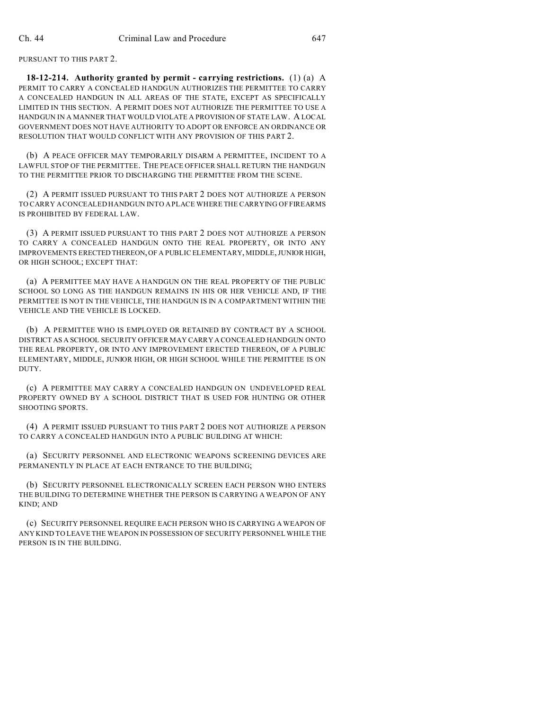PURSUANT TO THIS PART 2.

**18-12-214. Authority granted by permit - carrying restrictions.** (1) (a) A PERMIT TO CARRY A CONCEALED HANDGUN AUTHORIZES THE PERMITTEE TO CARRY A CONCEALED HANDGUN IN ALL AREAS OF THE STATE, EXCEPT AS SPECIFICALLY LIMITED IN THIS SECTION. A PERMIT DOES NOT AUTHORIZE THE PERMITTEE TO USE A HANDGUN IN A MANNER THAT WOULD VIOLATE A PROVISION OF STATE LAW. A LOCAL GOVERNMENT DOES NOT HAVE AUTHORITY TO ADOPT OR ENFORCE AN ORDINANCE OR RESOLUTION THAT WOULD CONFLICT WITH ANY PROVISION OF THIS PART 2.

(b) A PEACE OFFICER MAY TEMPORARILY DISARM A PERMITTEE, INCIDENT TO A LAWFUL STOP OF THE PERMITTEE. THE PEACE OFFICER SHALL RETURN THE HANDGUN TO THE PERMITTEE PRIOR TO DISCHARGING THE PERMITTEE FROM THE SCENE.

(2) A PERMIT ISSUED PURSUANT TO THIS PART 2 DOES NOT AUTHORIZE A PERSON TO CARRY A CONCEALED HANDGUN INTO A PLACE WHERE THE CARRYING OF FIREARMS IS PROHIBITED BY FEDERAL LAW.

(3) A PERMIT ISSUED PURSUANT TO THIS PART 2 DOES NOT AUTHORIZE A PERSON TO CARRY A CONCEALED HANDGUN ONTO THE REAL PROPERTY, OR INTO ANY IMPROVEMENTS ERECTED THEREON,OF A PUBLIC ELEMENTARY, MIDDLE, JUNIOR HIGH, OR HIGH SCHOOL; EXCEPT THAT:

(a) A PERMITTEE MAY HAVE A HANDGUN ON THE REAL PROPERTY OF THE PUBLIC SCHOOL SO LONG AS THE HANDGUN REMAINS IN HIS OR HER VEHICLE AND, IF THE PERMITTEE IS NOT IN THE VEHICLE, THE HANDGUN IS IN A COMPARTMENT WITHIN THE VEHICLE AND THE VEHICLE IS LOCKED.

(b) A PERMITTEE WHO IS EMPLOYED OR RETAINED BY CONTRACT BY A SCHOOL DISTRICT AS A SCHOOL SECURITY OFFICER MAY CARRY A CONCEALED HANDGUN ONTO THE REAL PROPERTY, OR INTO ANY IMPROVEMENT ERECTED THEREON, OF A PUBLIC ELEMENTARY, MIDDLE, JUNIOR HIGH, OR HIGH SCHOOL WHILE THE PERMITTEE IS ON DUTY.

(c) A PERMITTEE MAY CARRY A CONCEALED HANDGUN ON UNDEVELOPED REAL PROPERTY OWNED BY A SCHOOL DISTRICT THAT IS USED FOR HUNTING OR OTHER SHOOTING SPORTS.

(4) A PERMIT ISSUED PURSUANT TO THIS PART 2 DOES NOT AUTHORIZE A PERSON TO CARRY A CONCEALED HANDGUN INTO A PUBLIC BUILDING AT WHICH:

(a) SECURITY PERSONNEL AND ELECTRONIC WEAPONS SCREENING DEVICES ARE PERMANENTLY IN PLACE AT EACH ENTRANCE TO THE BUILDING:

(b) SECURITY PERSONNEL ELECTRONICALLY SCREEN EACH PERSON WHO ENTERS THE BUILDING TO DETERMINE WHETHER THE PERSON IS CARRYING A WEAPON OF ANY KIND; AND

(c) SECURITY PERSONNEL REQUIRE EACH PERSON WHO IS CARRYING A WEAPON OF ANY KIND TO LEAVE THE WEAPON IN POSSESSION OF SECURITY PERSONNEL WHILE THE PERSON IS IN THE BUILDING.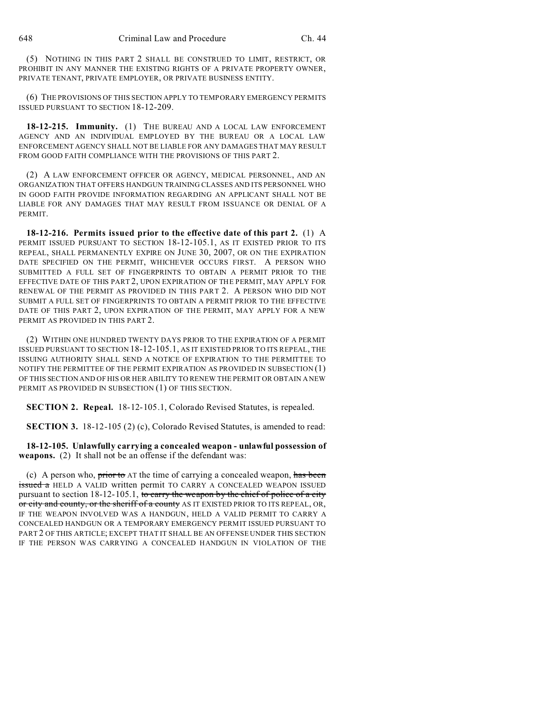(5) NOTHING IN THIS PART 2 SHALL BE CONSTRUED TO LIMIT, RESTRICT, OR PROHIBIT IN ANY MANNER THE EXISTING RIGHTS OF A PRIVATE PROPERTY OWNER, PRIVATE TENANT, PRIVATE EMPLOYER, OR PRIVATE BUSINESS ENTITY.

(6) THE PROVISIONS OF THIS SECTION APPLY TO TEMPORARY EMERGENCY PERMITS ISSUED PURSUANT TO SECTION 18-12-209.

**18-12-215. Immunity.** (1) THE BUREAU AND A LOCAL LAW ENFORCEMENT AGENCY AND AN INDIVIDUAL EMPLOYED BY THE BUREAU OR A LOCAL LAW ENFORCEMENT AGENCY SHALL NOT BE LIABLE FOR ANY DAMAGES THAT MAY RESULT FROM GOOD FAITH COMPLIANCE WITH THE PROVISIONS OF THIS PART 2.

(2) A LAW ENFORCEMENT OFFICER OR AGENCY, MEDICAL PERSONNEL, AND AN ORGANIZATION THAT OFFERS HANDGUN TRAINING CLASSES AND ITS PERSONNEL WHO IN GOOD FAITH PROVIDE INFORMATION REGARDING AN APPLICANT SHALL NOT BE LIABLE FOR ANY DAMAGES THAT MAY RESULT FROM ISSUANCE OR DENIAL OF A PERMIT.

**18-12-216. Permits issued prior to the effective date of this part 2.** (1) A PERMIT ISSUED PURSUANT TO SECTION 18-12-105.1, AS IT EXISTED PRIOR TO ITS REPEAL, SHALL PERMANENTLY EXPIRE ON JUNE 30, 2007, OR ON THE EXPIRATION DATE SPECIFIED ON THE PERMIT, WHICHEVER OCCURS FIRST. A PERSON WHO SUBMITTED A FULL SET OF FINGERPRINTS TO OBTAIN A PERMIT PRIOR TO THE EFFECTIVE DATE OF THIS PART 2, UPON EXPIRATION OF THE PERMIT, MAY APPLY FOR RENEWAL OF THE PERMIT AS PROVIDED IN THIS PART 2. A PERSON WHO DID NOT SUBMIT A FULL SET OF FINGERPRINTS TO OBTAIN A PERMIT PRIOR TO THE EFFECTIVE DATE OF THIS PART 2, UPON EXPIRATION OF THE PERMIT, MAY APPLY FOR A NEW PERMIT AS PROVIDED IN THIS PART 2.

(2) WITHIN ONE HUNDRED TWENTY DAYS PRIOR TO THE EXPIRATION OF A PERMIT ISSUED PURSUANT TO SECTION 18-12-105.1, AS IT EXISTED PRIOR TO ITS REPEAL, THE ISSUING AUTHORITY SHALL SEND A NOTICE OF EXPIRATION TO THE PERMITTEE TO NOTIFY THE PERMITTEE OF THE PERMIT EXPIRATION AS PROVIDED IN SUBSECTION (1) OF THIS SECTION AND OF HIS OR HER ABILITY TO RENEW THE PERMIT OR OBTAIN A NEW PERMIT AS PROVIDED IN SUBSECTION (1) OF THIS SECTION.

**SECTION 2. Repeal.** 18-12-105.1, Colorado Revised Statutes, is repealed.

**SECTION 3.** 18-12-105 (2) (c), Colorado Revised Statutes, is amended to read:

**18-12-105. Unlawfully carrying a concealed weapon - unlawful possession of weapons.** (2) It shall not be an offense if the defendant was:

(c) A person who, prior to  $AT$  the time of carrying a concealed weapon, has been **issued a** HELD A VALID written permit TO CARRY A CONCEALED WEAPON ISSUED pursuant to section  $18-12-105.1$ , to carry the weapon by the chief of police of a city or city and county, or the sheriff of a county AS IT EXISTED PRIOR TO ITS REPEAL, OR, IF THE WEAPON INVOLVED WAS A HANDGUN, HELD A VALID PERMIT TO CARRY A CONCEALED HANDGUN OR A TEMPORARY EMERGENCY PERMIT ISSUED PURSUANT TO PART 2 OF THIS ARTICLE; EXCEPT THAT IT SHALL BE AN OFFENSE UNDER THIS SECTION IF THE PERSON WAS CARRYING A CONCEALED HANDGUN IN VIOLATION OF THE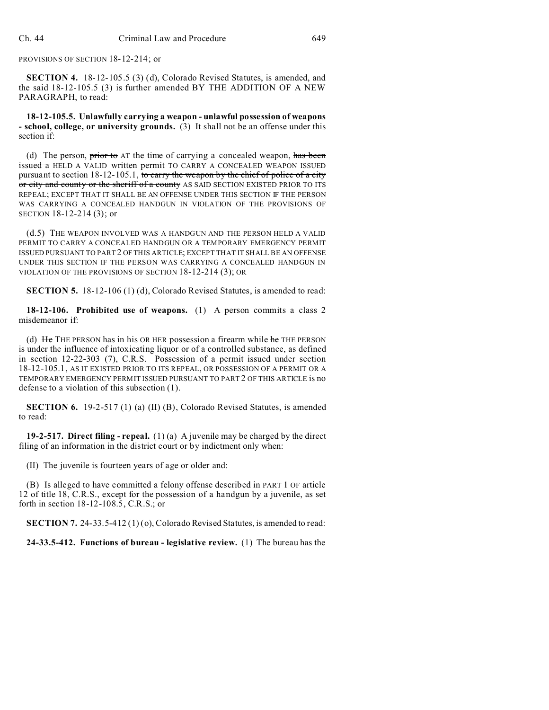PROVISIONS OF SECTION 18-12-214; or

**SECTION 4.** 18-12-105.5 (3) (d), Colorado Revised Statutes, is amended, and the said 18-12-105.5 (3) is further amended BY THE ADDITION OF A NEW PARAGRAPH, to read:

**18-12-105.5. Unlawfully carrying a weapon - unlawful possession of weapons - school, college, or university grounds.** (3) It shall not be an offense under this section if:

(d) The person, prior to  $AT$  the time of carrying a concealed weapon, has been **issued a** HELD A VALID written permit TO CARRY A CONCEALED WEAPON ISSUED pursuant to section  $18-12-105.1$ , to carry the weapon by the chief of police of a city or city and county or the sheriff of a county AS SAID SECTION EXISTED PRIOR TO ITS REPEAL; EXCEPT THAT IT SHALL BE AN OFFENSE UNDER THIS SECTION IF THE PERSON WAS CARRYING A CONCEALED HANDGUN IN VIOLATION OF THE PROVISIONS OF SECTION 18-12-214 (3); or

(d.5) THE WEAPON INVOLVED WAS A HANDGUN AND THE PERSON HELD A VALID PERMIT TO CARRY A CONCEALED HANDGUN OR A TEMPORARY EMERGENCY PERMIT ISSUED PURSUANT TO PART 2 OF THIS ARTICLE; EXCEPT THAT IT SHALL BE AN OFFENSE UNDER THIS SECTION IF THE PERSON WAS CARRYING A CONCEALED HANDGUN IN VIOLATION OF THE PROVISIONS OF SECTION 18-12-214 (3); OR

**SECTION 5.** 18-12-106 (1) (d), Colorado Revised Statutes, is amended to read:

**18-12-106. Prohibited use of weapons.** (1) A person commits a class 2 misdemeanor if:

(d) He THE PERSON has in his OR HER possession a firearm while  $he$  THE PERSON is under the influence of intoxicating liquor or of a controlled substance, as defined in section 12-22-303 (7), C.R.S. Possession of a permit issued under section 18-12-105.1, AS IT EXISTED PRIOR TO ITS REPEAL, OR POSSESSION OF A PERMIT OR A TEMPORARY EMERGENCY PERMIT ISSUED PURSUANT TO PART 2 OF THIS ARTICLE is no defense to a violation of this subsection (1).

**SECTION 6.** 19-2-517 (1) (a) (II) (B), Colorado Revised Statutes, is amended to read:

**19-2-517. Direct filing - repeal.** (1) (a) A juvenile may be charged by the direct filing of an information in the district court or by indictment only when:

(II) The juvenile is fourteen years of age or older and:

(B) Is alleged to have committed a felony offense described in PART 1 OF article 12 of title 18, C.R.S., except for the possession of a handgun by a juvenile, as set forth in section 18-12-108.5, C.R.S.; or

**SECTION 7.** 24-33.5-412 (1) (o), Colorado Revised Statutes, is amended to read:

**24-33.5-412. Functions of bureau - legislative review.** (1) The bureau has the